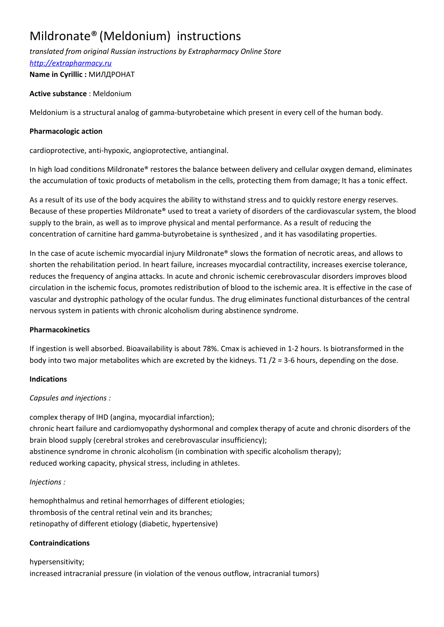# Mildronate® (Meldonium) instructions

*translated from original Russian instructions by Extrapharmacy Online Store*

*http://extrapharmacy.ru*

**Name in Cyrillic :** МИЛДРОНАТ

# **Active substance** : Meldonium

Meldonium is a structural analog of gamma-butyrobetaine which present in every cell of the human body.

# **Pharmacologic action**

cardioprotective, anti-hypoxic, angioprotective, antianginal.

In high load conditions Mildronate® restores the balance between delivery and cellular oxygen demand, eliminates the accumulation of toxic products of metabolism in the cells, protecting them from damage; It has a tonic effect.

As a result of its use of the body acquires the ability to withstand stress and to quickly restore energy reserves. Because of these properties Mildronate® used to treat a variety of disorders of the cardiovascular system, the blood supply to the brain, as well as to improve physical and mental performance. As a result of reducing the concentration of carnitine hard gamma-butyrobetaine is synthesized , and it has vasodilating properties.

In the case of acute ischemic myocardial injury Mildronate® slows the formation of necrotic areas, and allows to shorten the rehabilitation period. In heart failure, increases myocardial contractility, increases exercise tolerance, reduces the frequency of angina attacks. In acute and chronic ischemic cerebrovascular disorders improves blood circulation in the ischemic focus, promotes redistribution of blood to the ischemic area. It is effective in the case of vascular and dystrophic pathology of the ocular fundus. The drug eliminates functional disturbances of the central nervous system in patients with chronic alcoholism during abstinence syndrome.

## **Pharmacokinetics**

If ingestion is well absorbed. Bioavailability is about 78%. Cmax is achieved in 1-2 hours. Is biotransformed in the body into two major metabolites which are excreted by the kidneys. T1 /2 = 3-6 hours, depending on the dose.

## **Indications**

# *Capsules and injections :*

complex therapy of IHD (angina, myocardial infarction); chronic heart failure and cardiomyopathy dyshormonal and complex therapy of acute and chronic disorders of the brain blood supply (cerebral strokes and cerebrovascular insufficiency); abstinence syndrome in chronic alcoholism (in combination with specific alcoholism therapy); reduced working capacity, physical stress, including in athletes.

# *Injections :*

hemophthalmus and retinal hemorrhages of different etiologies; thrombosis of the central retinal vein and its branches; retinopathy of different etiology (diabetic, hypertensive)

# **Contraindications**

hypersensitivity; increased intracranial pressure (in violation of the venous outflow, intracranial tumors)